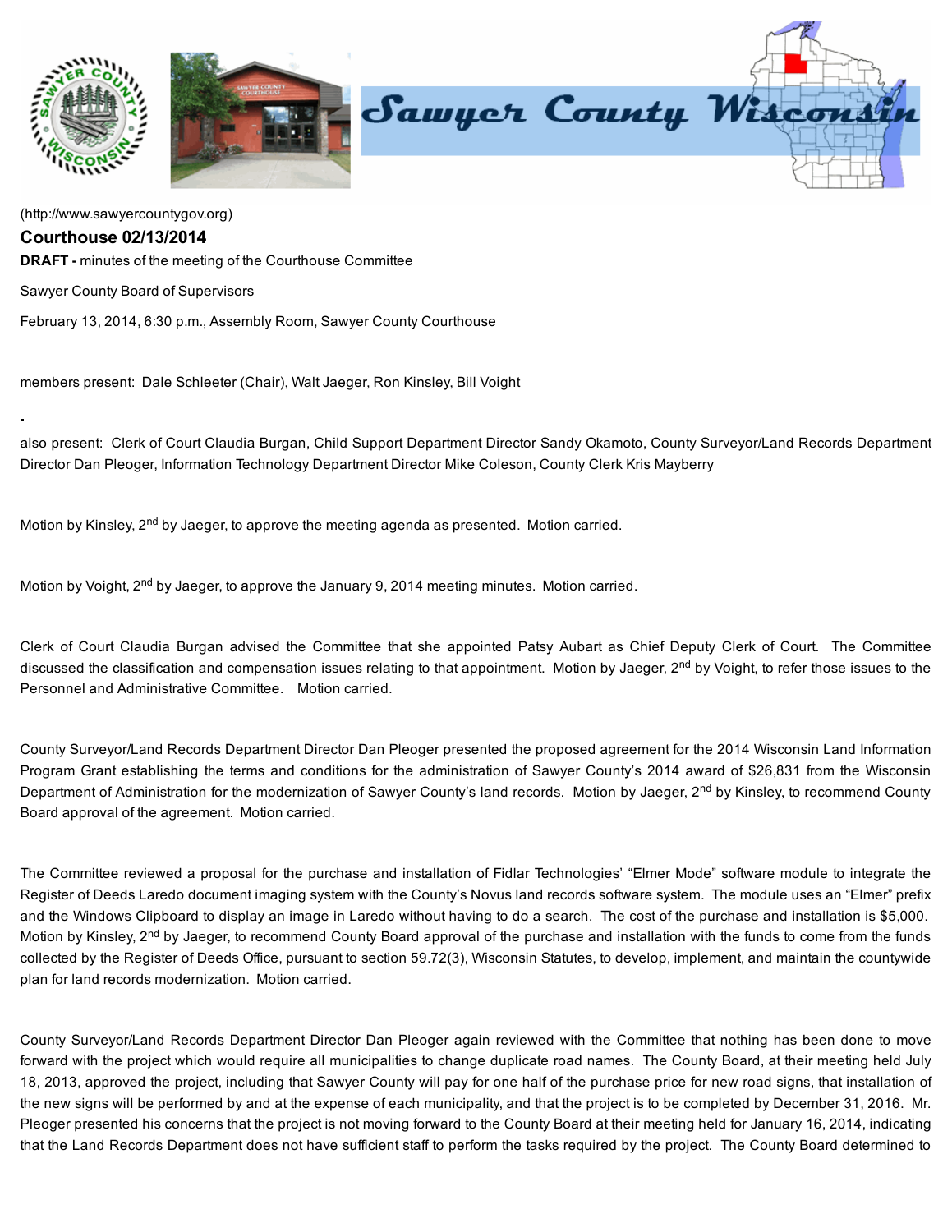

[\(http://www.sawyercountygov.org\)](http://www.sawyercountygov.org/)

## Courthouse 02/13/2014

**DRAFT** - minutes of the meeting of the Courthouse Committee

Sawyer County Board of Supervisors

February 13, 2014, 6:30 p.m., Assembly Room, Sawyer County Courthouse

members present: Dale Schleeter (Chair), Walt Jaeger, Ron Kinsley, Bill Voight

also present: Clerk of Court Claudia Burgan, Child Support Department Director Sandy Okamoto, County Surveyor/Land Records Department Director Dan Pleoger, Information Technology Department Director Mike Coleson, County Clerk Kris Mayberry

Motion by Kinsley, 2<sup>nd</sup> by Jaeger, to approve the meeting agenda as presented. Motion carried.

Motion by Voight, 2<sup>nd</sup> by Jaeger, to approve the January 9, 2014 meeting minutes. Motion carried.

Clerk of Court Claudia Burgan advised the Committee that she appointed Patsy Aubart as Chief Deputy Clerk of Court. The Committee discussed the classification and compensation issues relating to that appointment. Motion by Jaeger, 2<sup>nd</sup> by Voight, to refer those issues to the Personnel and Administrative Committee. Motion carried.

County Surveyor/Land Records Department Director Dan Pleoger presented the proposed agreement for the 2014 Wisconsin Land Information Program Grant establishing the terms and conditions for the administration of Sawyer County's 2014 award of \$26,831 from the Wisconsin Department of Administration for the modernization of Sawyer County's land records. Motion by Jaeger, 2<sup>nd</sup> by Kinsley, to recommend County Board approval of the agreement. Motion carried.

The Committee reviewed a proposal for the purchase and installation of Fidlar Technologies' "Elmer Mode" software module to integrate the Register of Deeds Laredo document imaging system with the County's Novus land records software system. The module uses an "Elmer" prefix and the Windows Clipboard to display an image in Laredo without having to do a search. The cost of the purchase and installation is \$5,000. Motion by Kinsley, 2<sup>nd</sup> by Jaeger, to recommend County Board approval of the purchase and installation with the funds to come from the funds collected by the Register of Deeds Office, pursuant to section 59.72(3), Wisconsin Statutes, to develop, implement, and maintain the countywide plan for land records modernization. Motion carried.

County Surveyor/Land Records Department Director Dan Pleoger again reviewed with the Committee that nothing has been done to move forward with the project which would require all municipalities to change duplicate road names. The County Board, at their meeting held July 18, 2013, approved the project, including that Sawyer County will pay for one half of the purchase price for new road signs, that installation of the new signs will be performed by and at the expense of each municipality, and that the project is to be completed by December 31, 2016. Mr. Pleoger presented his concerns that the project is not moving forward to the County Board at their meeting held for January 16, 2014, indicating that the Land Records Department does not have sufficient staff to perform the tasks required by the project. The County Board determined to